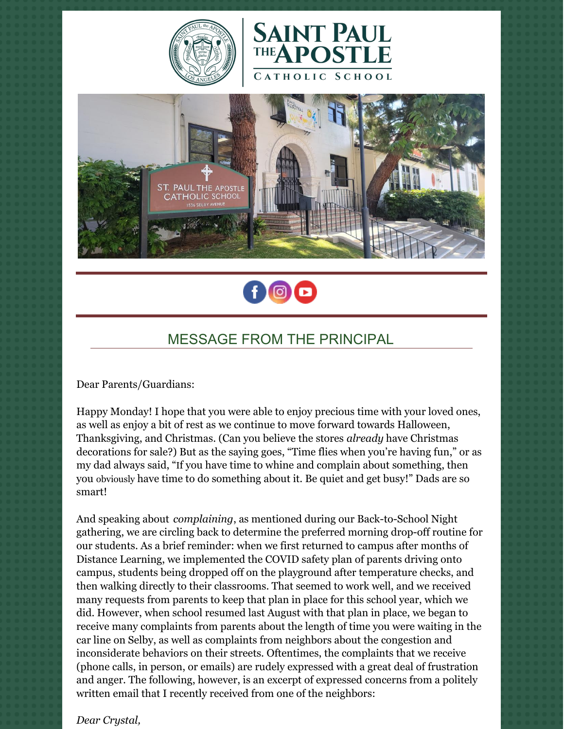







## MESSAGE FROM THE PRINCIPAL

Dear Parents/Guardians:

Happy Monday! I hope that you were able to enjoy precious time with your loved ones, as well as enjoy a bit of rest as we continue to move forward towards Halloween, Thanksgiving, and Christmas. (Can you believe the stores *already* have Christmas decorations for sale?) But as the saying goes, "Time flies when you're having fun," or as my dad always said, "If you have time to whine and complain about something, then you obviously have time to do something about it. Be quiet and get busy!" Dads are so smart!

And speaking about *complaining*, as mentioned during our Back-to-School Night gathering, we are circling back to determine the preferred morning drop-off routine for our students. As a brief reminder: when we first returned to campus after months of Distance Learning, we implemented the COVID safety plan of parents driving onto campus, students being dropped off on the playground after temperature checks, and then walking directly to their classrooms. That seemed to work well, and we received many requests from parents to keep that plan in place for this school year, which we did. However, when school resumed last August with that plan in place, we began to receive many complaints from parents about the length of time you were waiting in the car line on Selby, as well as complaints from neighbors about the congestion and inconsiderate behaviors on their streets. Oftentimes, the complaints that we receive (phone calls, in person, or emails) are rudely expressed with a great deal of frustration and anger. The following, however, is an excerpt of expressed concerns from a politely written email that I recently received from one of the neighbors:

*Dear Crystal,*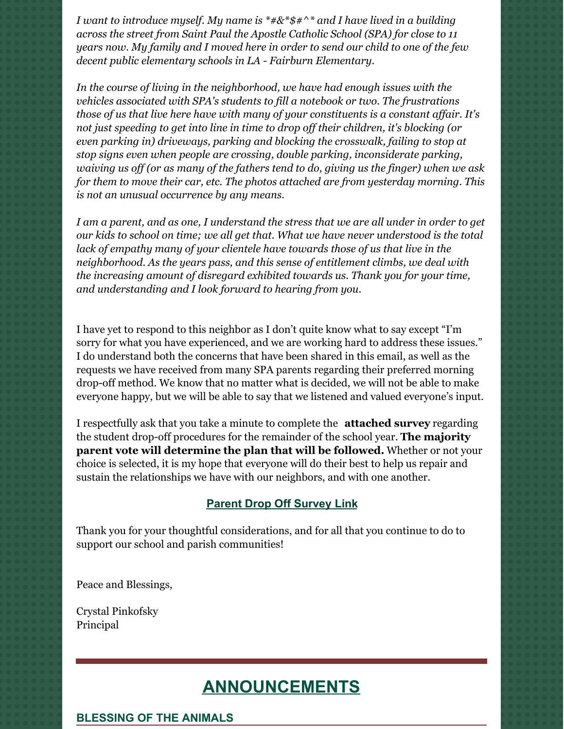*I want to introduce myself. My name is \*#&\*\$#^\* and I have lived in a building across the street from Saint Paul the Apostle Catholic School (SPA) for close to 11 years now. My family and I moved here in order to send our child to one of the few decent public elementary schools in LA - Fairburn Elementary.*

*In the course of living in the neighborhood, we have had enough issues with the vehicles associated with SPA's students to fill a notebook or two. The frustrations those of us that live here have with many of your constituents is a constant af air. It's not just speeding to get into line in time to drop of their children, it's blocking (or even parking in) driveways, parking and blocking the crosswalk, failing to stop at stop signs even when people are crossing, double parking, inconsiderate parking, waiving us of (or as many of the fathers tend to do, giving us the finger) when we ask for them to move their car, etc. The photos attached are from yesterday morning. This is not an unusual occurrence by any means.*

I am a parent, and as one, I understand the stress that we are all under in order to get *our kids to school on time; we all get that. What we have never understood is the total lack of empathy many of your clientele have towards those of us that live in the neighborhood. As the years pass, and this sense of entitlement climbs, we deal with the increasing amount of disregard exhibited towards us. Thank you for your time, and understanding and I look forward to hearing from you.*

I have yet to respond to this neighbor as I don't quite know what to say except "I'm sorry for what you have experienced, and we are working hard to address these issues." I do understand both the concerns that have been shared in this email, as well as the requests we have received from many SPA parents regarding their preferred morning drop-off method. We know that no matter what is decided, we will not be able to make everyone happy, but we will be able to say that we listened and valued everyone's input.

I respectfully ask that you take a minute to complete the **attached survey** regarding the student drop-off procedures for the remainder of the school year. **The majority parent vote will determine the plan that will be followed.** Whether or not your choice is selected, it is my hope that everyone will do their best to help us repair and sustain the relationships we have with our neighbors, and with one another.

#### **Parent Drop Off [Survey](https://forms.gle/YLpbc6EYHDaGGKcN8) Link**

Thank you for your thoughtful considerations, and for all that you continue to do to support our school and parish communities!

Peace and Blessings,

Crystal Pinkofsky Principal

# **ANNOUNCEMENTS**

**BLESSING OF THE ANIMALS**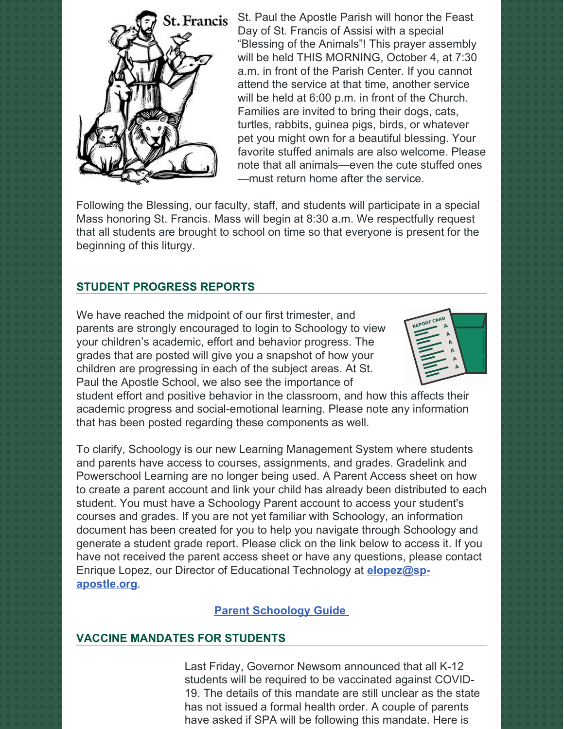

St. Paul the Apostle Parish will honor the Feast Day of St. Francis of Assisi with a special "Blessing of the Animals"! This prayer assembly will be held THIS MORNING, October 4, at 7:30 a.m. in front of the Parish Center. If you cannot attend the service at that time, another service will be held at 6:00 p.m. in front of the Church. Families are invited to bring their dogs, cats, turtles, rabbits, guinea pigs, birds, or whatever pet you might own for a beautiful blessing. Your favorite stuffed animals are also welcome. Please note that all animals—even the cute stuffed ones —must return home after the service.

Following the Blessing, our faculty, staff, and students will participate in a special Mass honoring St. Francis. Mass will begin at 8:30 a.m. We respectfully request that all students are brought to school on time so that everyone is present for the beginning of this liturgy.

## **STUDENT PROGRESS REPORTS**

We have reached the midpoint of our first trimester, and parents are strongly encouraged to login to Schoology to view your children's academic, effort and behavior progress. The grades that are posted will give you a snapshot of how your children are progressing in each of the subject areas. At St. Paul the Apostle School, we also see the importance of



student effort and positive behavior in the classroom, and how this affects their academic progress and social-emotional learning. Please note any information that has been posted regarding these components as well.

To clarify, Schoology is our new Learning Management System where students and parents have access to courses, assignments, and grades. Gradelink and Powerschool Learning are no longer being used. A Parent Access sheet on how to create a parent account and link your child has already been distributed to each student. You must have a Schoology Parent account to access your student's courses and grades. If you are not yet familiar with Schoology, an information document has been created for you to help you navigate through Schoology and generate a student grade report. Please click on the link below to access it. If you have not received the parent access sheet or have any questions, please contact Enrique Lopez, our Director of Educational Technology at **[elopez@sp](mailto:elopez@sp-apostle.org)apostle.org**.

## **Parent [Schoology](https://docs.google.com/document/d/e/2PACX-1vS_KoDF-dATaLxhQI_Jd7jY6JKAkAvuv-I6TPjyme1vnQcSFGYyhY-jpl2ViSIRB7A4BOT6aCry_lN8/pub) Guide**

#### **VACCINE MANDATES FOR STUDENTS**

Last Friday, Governor Newsom announced that all K-12 students will be required to be vaccinated against COVID-19. The details of this mandate are still unclear as the state has not issued a formal health order. A couple of parents have asked if SPA will be following this mandate. Here is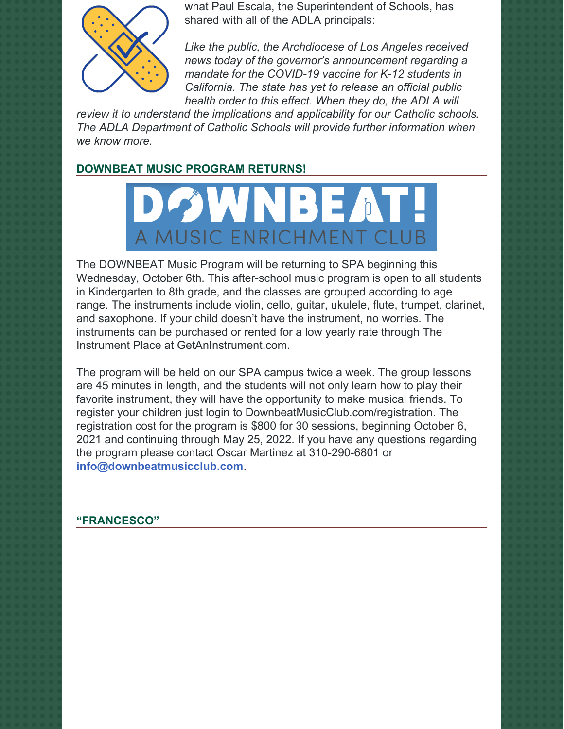

what Paul Escala, the Superintendent of Schools, has shared with all of the ADLA principals:

*Like the public, the Archdiocese of Los Angeles received news today of the governor's announcement regarding a mandate for the COVID-19 vaccine for K-12 students in California. The state has yet to release an official public health order to this effect. When they do, the ADLA will*

*review it to understand the implications and applicability for our Catholic schools. The ADLA Department of Catholic Schools will provide further information when we know more.*

## **DOWNBEAT MUSIC PROGRAM RETURNS!**



The DOWNBEAT Music Program will be returning to SPA beginning this Wednesday, October 6th. This after-school music program is open to all students in Kindergarten to 8th grade, and the classes are grouped according to age range. The instruments include violin, cello, guitar, ukulele, flute, trumpet, clarinet, and saxophone. If your child doesn't have the instrument, no worries. The instruments can be purchased or rented for a low yearly rate through The Instrument Place at GetAnInstrument.com.

The program will be held on our SPA campus twice a week. The group lessons are 45 minutes in length, and the students will not only learn how to play their favorite instrument, they will have the opportunity to make musical friends. To register your children just login to DownbeatMusicClub.com/registration. The registration cost for the program is \$800 for 30 sessions, beginning October 6, 2021 and continuing through May 25, 2022. If you have any questions regarding the program please contact Oscar Martinez at 310-290-6801 or **[info@downbeatmusicclub.com](mailto:info@downbeatmusicclub.com)**.

#### **"FRANCESCO"**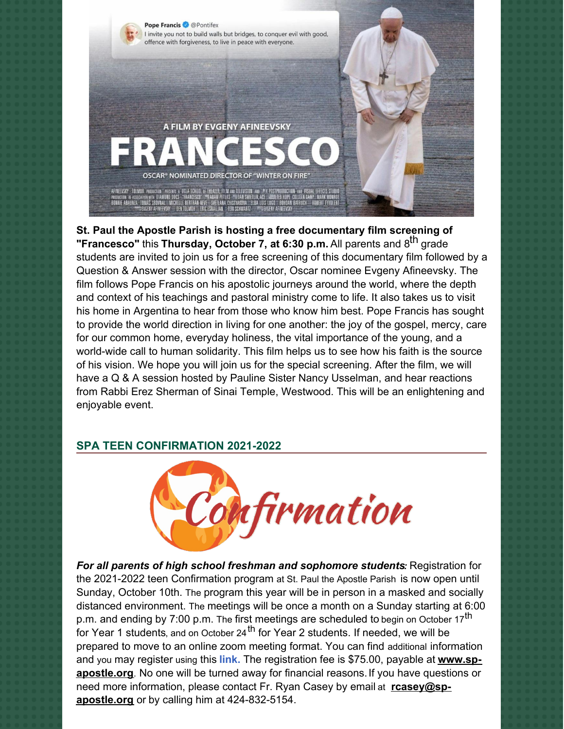

**St. Paul the Apostle Parish is hosting a free documentary film screening of "Francesco"** this **Thursday, October 7, at 6:30 p.m.** All parents and 8 th grade students are invited to join us for a free screening of this documentary film followed by a Question & Answer session with the director, Oscar nominee Evgeny Afineevsky. The film follows Pope Francis on his apostolic journeys around the world, where the depth and context of his teachings and pastoral ministry come to life. It also takes us to visit his home in Argentina to hear from those who know him best. Pope Francis has sought to provide the world direction in living for one another: the joy of the gospel, mercy, care for our common home, everyday holiness, the vital importance of the young, and a world-wide call to human solidarity. This film helps us to see how his faith is the source of his vision. We hope you will join us for the special screening. After the film, we will have a Q & A session hosted by Pauline Sister Nancy Usselman, and hear reactions from Rabbi Erez Sherman of Sinai Temple, Westwood. This will be an enlightening and enjoyable event.

#### **SPA TEEN CONFIRMATION 2021-2022**



*For all parents of high school freshman and sophomore students:* Registration for the 2021-2022 teen Confirmation program at St. Paul the Apostle Parish is now open until Sunday, October 10th. The program this year will be in person in a masked and socially distanced environment. The meetings will be once a month on a Sunday starting at 6:00 p.m. and ending by 7:00 p.m. The first meetings are scheduled to begin on October 17<sup>th</sup> for Year 1 students, and on October 24<sup>th</sup> for Year 2 students. If needed, we will be prepared to move to an online zoom meeting format. You can find additional information and you may register using this **[link.](https://r20.rs6.net/tn.jsp?f=001q1K4OivRMDuiHEC__9q1xXWuefo8GHUgYwXPywTKGoU3yJ1g2hW--ampaQ5U37hj6tMxdDWkmGf-0P_7Yn_O2GIyj5mtBbHQA1kHvCundllFzanudVR8o0ntFJRS95AWjBCr8q5RYE2INmpzXTJ9IOd7csGl5LPB&c=y5TEKeheTuV18Br7xFRnBAe6Pa99eoP6-zeBwjB5_yBoIt270pChOg==&ch=5RyumAtaZlj4gzBsS7FRwQFXErXSwPxnOFKqFtdlK0gl7UodCYmSKQ==)** The registration fee is \$75.00, payable at **www.sp[apostle.org](https://r20.rs6.net/tn.jsp?f=001q1K4OivRMDuiHEC__9q1xXWuefo8GHUgYwXPywTKGoU3yJ1g2hW--TDmW7sjyOf_f_GPg32-Eupyqy1WZa6J0RlI0VT42dL_g1Xm8Ehe-Wy9Uxnu_yE6fgTvZkmZAk5lQ5IxRyJ8i-HJkvsS-ob74ySkX57_zrOtNoPZNuF-FJAciKkKHyGsNUPFwzIdfn64&c=y5TEKeheTuV18Br7xFRnBAe6Pa99eoP6-zeBwjB5_yBoIt270pChOg==&ch=5RyumAtaZlj4gzBsS7FRwQFXErXSwPxnOFKqFtdlK0gl7UodCYmSKQ==)**. No one will be turned away for financial reasons.If you have questions or need more information, please contact Fr. Ryan Casey by email at **rcasey@spapostle.org** or by calling him at [424-832-5154.](mailto:rcasey@sp-apostle.org)